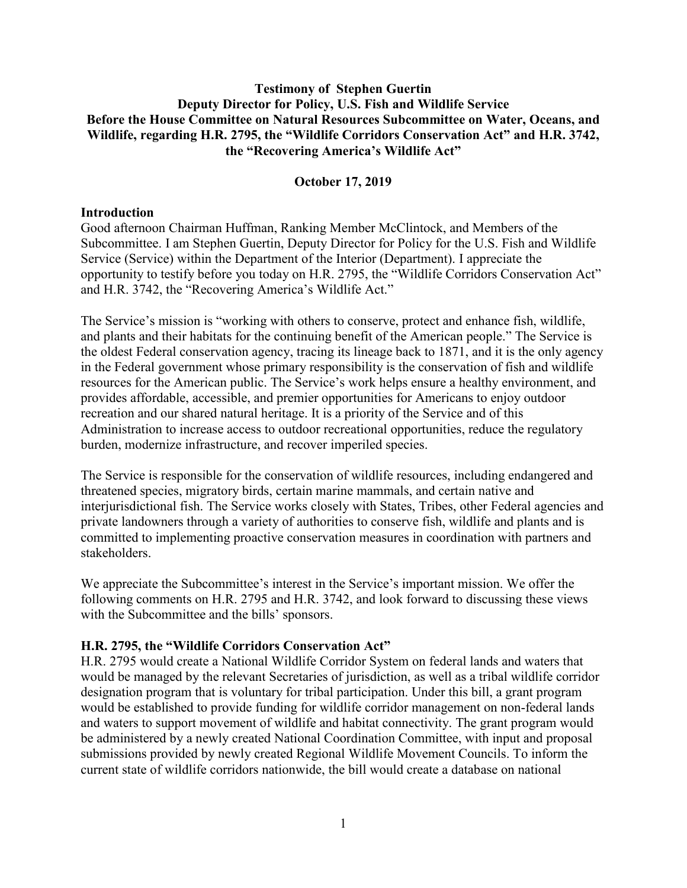## **Testimony of Stephen Guertin Deputy Director for Policy, U.S. Fish and Wildlife Service Before the House Committee on Natural Resources Subcommittee on Water, Oceans, and Wildlife, regarding H.R. 2795, the "Wildlife Corridors Conservation Act" and H.R. 3742, the "Recovering America's Wildlife Act"**

### **October 17, 2019**

#### **Introduction**

Good afternoon Chairman Huffman, Ranking Member McClintock, and Members of the Subcommittee. I am Stephen Guertin, Deputy Director for Policy for the U.S. Fish and Wildlife Service (Service) within the Department of the Interior (Department). I appreciate the opportunity to testify before you today on H.R. 2795, the "Wildlife Corridors Conservation Act" and H.R. 3742, the "Recovering America's Wildlife Act."

The Service's mission is "working with others to conserve, protect and enhance fish, wildlife, and plants and their habitats for the continuing benefit of the American people." The Service is the oldest Federal conservation agency, tracing its lineage back to 1871, and it is the only agency in the Federal government whose primary responsibility is the conservation of fish and wildlife resources for the American public. The Service's work helps ensure a healthy environment, and provides affordable, accessible, and premier opportunities for Americans to enjoy outdoor recreation and our shared natural heritage. It is a priority of the Service and of this Administration to increase access to outdoor recreational opportunities, reduce the regulatory burden, modernize infrastructure, and recover imperiled species.

The Service is responsible for the conservation of wildlife resources, including endangered and threatened species, migratory birds, certain marine mammals, and certain native and interjurisdictional fish. The Service works closely with States, Tribes, other Federal agencies and private landowners through a variety of authorities to conserve fish, wildlife and plants and is committed to implementing proactive conservation measures in coordination with partners and stakeholders.

We appreciate the Subcommittee's interest in the Service's important mission. We offer the following comments on H.R. 2795 and H.R. 3742, and look forward to discussing these views with the Subcommittee and the bills' sponsors.

#### **H.R. 2795, the "Wildlife Corridors Conservation Act"**

H.R. 2795 would create a National Wildlife Corridor System on federal lands and waters that would be managed by the relevant Secretaries of jurisdiction, as well as a tribal wildlife corridor designation program that is voluntary for tribal participation. Under this bill, a grant program would be established to provide funding for wildlife corridor management on non-federal lands and waters to support movement of wildlife and habitat connectivity. The grant program would be administered by a newly created National Coordination Committee, with input and proposal submissions provided by newly created Regional Wildlife Movement Councils. To inform the current state of wildlife corridors nationwide, the bill would create a database on national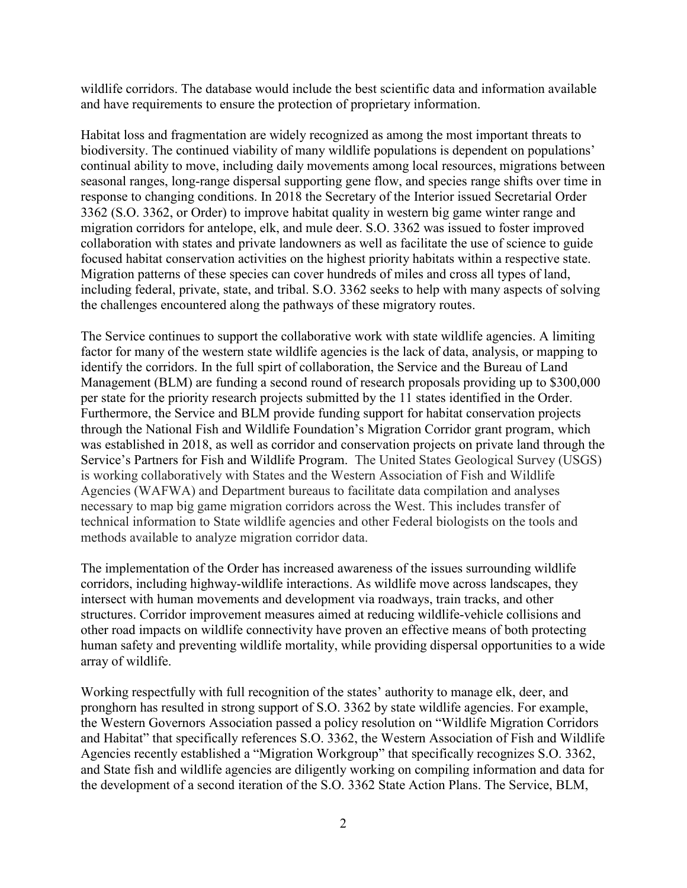wildlife corridors. The database would include the best scientific data and information available and have requirements to ensure the protection of proprietary information.

Habitat loss and fragmentation are widely recognized as among the most important threats to biodiversity. The continued viability of many wildlife populations is dependent on populations' continual ability to move, including daily movements among local resources, migrations between seasonal ranges, long-range dispersal supporting gene flow, and species range shifts over time in response to changing conditions. In 2018 the Secretary of the Interior issued Secretarial Order 3362 (S.O. 3362, or Order) to improve habitat quality in western big game winter range and migration corridors for antelope, elk, and mule deer. S.O. 3362 was issued to foster improved collaboration with states and private landowners as well as facilitate the use of science to guide focused habitat conservation activities on the highest priority habitats within a respective state. Migration patterns of these species can cover hundreds of miles and cross all types of land, including federal, private, state, and tribal. S.O. 3362 seeks to help with many aspects of solving the challenges encountered along the pathways of these migratory routes.

The Service continues to support the collaborative work with state wildlife agencies. A limiting factor for many of the western state wildlife agencies is the lack of data, analysis, or mapping to identify the corridors. In the full spirt of collaboration, the Service and the Bureau of Land Management (BLM) are funding a second round of research proposals providing up to \$300,000 per state for the priority research projects submitted by the 11 states identified in the Order. Furthermore, the Service and BLM provide funding support for habitat conservation projects through the National Fish and Wildlife Foundation's Migration Corridor grant program, which was established in 2018, as well as corridor and conservation projects on private land through the Service's Partners for Fish and Wildlife Program. The United States Geological Survey (USGS) is working collaboratively with States and the Western Association of Fish and Wildlife Agencies (WAFWA) and Department bureaus to facilitate data compilation and analyses necessary to map big game migration corridors across the West. This includes transfer of technical information to State wildlife agencies and other Federal biologists on the tools and methods available to analyze migration corridor data.

The implementation of the Order has increased awareness of the issues surrounding wildlife corridors, including highway-wildlife interactions. As wildlife move across landscapes, they intersect with human movements and development via roadways, train tracks, and other structures. Corridor improvement measures aimed at reducing wildlife-vehicle collisions and other road impacts on wildlife connectivity have proven an effective means of both protecting human safety and preventing wildlife mortality, while providing dispersal opportunities to a wide array of wildlife.

Working respectfully with full recognition of the states' authority to manage elk, deer, and pronghorn has resulted in strong support of S.O. 3362 by state wildlife agencies. For example, the Western Governors Association passed a policy resolution on "Wildlife Migration Corridors and Habitat" that specifically references S.O. 3362, the Western Association of Fish and Wildlife Agencies recently established a "Migration Workgroup" that specifically recognizes S.O. 3362, and State fish and wildlife agencies are diligently working on compiling information and data for the development of a second iteration of the S.O. 3362 State Action Plans. The Service, BLM,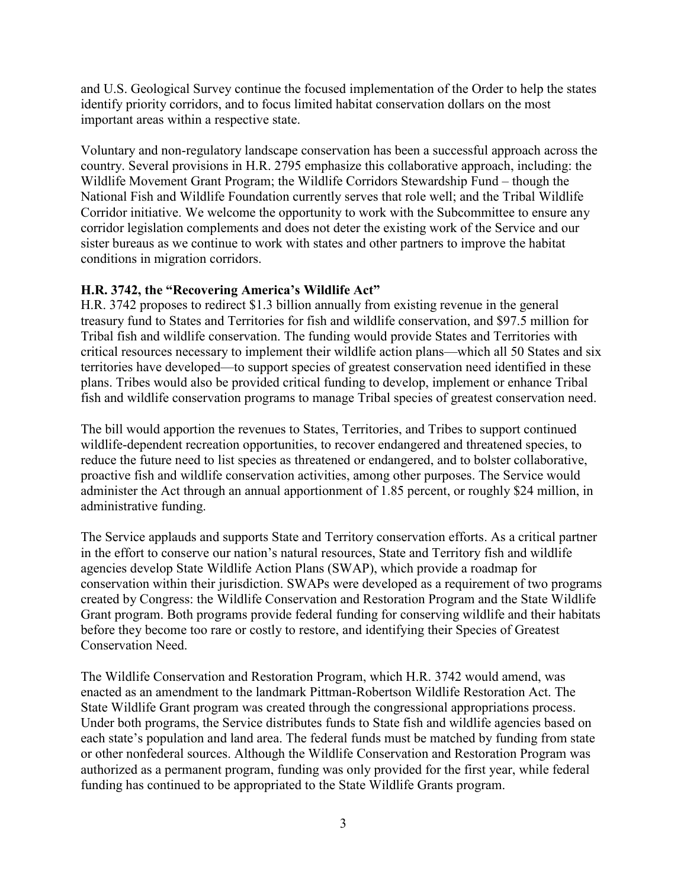and U.S. Geological Survey continue the focused implementation of the Order to help the states identify priority corridors, and to focus limited habitat conservation dollars on the most important areas within a respective state.

Voluntary and non-regulatory landscape conservation has been a successful approach across the country. Several provisions in H.R. 2795 emphasize this collaborative approach, including: the Wildlife Movement Grant Program; the Wildlife Corridors Stewardship Fund – though the National Fish and Wildlife Foundation currently serves that role well; and the Tribal Wildlife Corridor initiative. We welcome the opportunity to work with the Subcommittee to ensure any corridor legislation complements and does not deter the existing work of the Service and our sister bureaus as we continue to work with states and other partners to improve the habitat conditions in migration corridors.

# **H.R. 3742, the "Recovering America's Wildlife Act"**

H.R. 3742 proposes to redirect \$1.3 billion annually from existing revenue in the general treasury fund to States and Territories for fish and wildlife conservation, and \$97.5 million for Tribal fish and wildlife conservation. The funding would provide States and Territories with critical resources necessary to implement their wildlife action plans—which all 50 States and six territories have developed—to support species of greatest conservation need identified in these plans. Tribes would also be provided critical funding to develop, implement or enhance Tribal fish and wildlife conservation programs to manage Tribal species of greatest conservation need.

The bill would apportion the revenues to States, Territories, and Tribes to support continued wildlife-dependent recreation opportunities, to recover endangered and threatened species, to reduce the future need to list species as threatened or endangered, and to bolster collaborative, proactive fish and wildlife conservation activities, among other purposes. The Service would administer the Act through an annual apportionment of 1.85 percent, or roughly \$24 million, in administrative funding.

The Service applauds and supports State and Territory conservation efforts. As a critical partner in the effort to conserve our nation's natural resources, State and Territory fish and wildlife agencies develop State Wildlife Action Plans (SWAP), which provide a roadmap for conservation within their jurisdiction. SWAPs were developed as a requirement of two programs created by Congress: the Wildlife Conservation and Restoration Program and the State Wildlife Grant program. Both programs provide federal funding for conserving wildlife and their habitats before they become too rare or costly to restore, and identifying their Species of Greatest Conservation Need.

The Wildlife Conservation and Restoration Program, which H.R. 3742 would amend, was enacted as an amendment to the landmark Pittman-Robertson Wildlife Restoration Act. The State Wildlife Grant program was created through the congressional appropriations process. Under both programs, the Service distributes funds to State fish and wildlife agencies based on each state's population and land area. The federal funds must be matched by funding from state or other nonfederal sources. Although the Wildlife Conservation and Restoration Program was authorized as a permanent program, funding was only provided for the first year, while federal funding has continued to be appropriated to the State Wildlife Grants program.